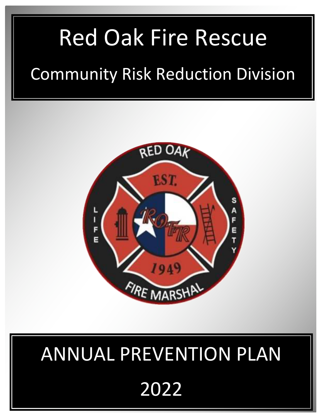# Red Oak Fire Rescue

## Community Risk Reduction Division



# ANNUAL PREVENTION PLAN 2022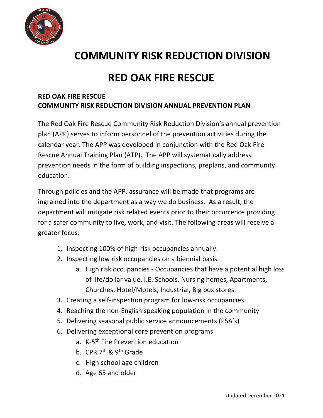

## **COMMUNITY RISK REDUCTION DIVISION**

### **RED OAK FIRE RESCUE**

#### **RED OAK FIRE RESCUE COMMUNITY RISK REDUCTION DIVISION ANNUAL PREVENTION PLAN**

The Red Oak Fire Rescue Community Risk Reduction Division's annual prevention plan (APP) serves to inform personnel of the prevention activities during the calendar year. The APP was developed in conjunction with the Red Oak Fire Rescue Annual Training Plan (ATP). The APP will systematically address prevention needs in the form of building inspections, preplans, and community education.

Through policies and the APP, assurance will be made that programs are ingrained into the department as a way we do business. As a result, the department will mitigate risk related events prior to their occurrence providing for a safer community to live, work, and visit. The following areas will receive a greater focus:

- 1. Inspecting 100% of high-risk occupancies annually.
- 2. Inspecting low risk occupancies on a biennial basis.
	- a. High risk occupancies Occupancies that have a potential high loss of life/dollar value. I.E. Schools, Nursing homes, Apartments, Churches, Hotel/Motels, Industrial, Big box stores.
- 3. Creating a self-inspection program for low-risk occupancies
- 4. Reaching the non-English speaking population in the community
- 5. Delivering seasonal public service announcements (PSA's)
- 6. Delivering exceptional core prevention programs
	- a. K-5<sup>th</sup> Fire Prevention education
	- b. CPR 7<sup>th</sup> & 9<sup>th</sup> Grade
	- c. High school age children
	- d. Age 65 and older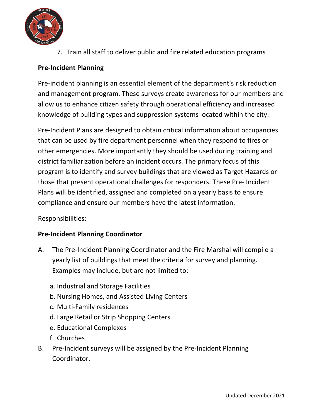

7. Train all staff to deliver public and fire related education programs

#### **Pre-Incident Planning**

Pre-incident planning is an essential element of the department's risk reduction and management program. These surveys create awareness for our members and allow us to enhance citizen safety through operational efficiency and increased knowledge of building types and suppression systems located within the city.

Pre-Incident Plans are designed to obtain critical information about occupancies that can be used by fire department personnel when they respond to fires or other emergencies. More importantly they should be used during training and district familiarization before an incident occurs. The primary focus of this program is to identify and survey buildings that are viewed as Target Hazards or those that present operational challenges for responders. These Pre- Incident Plans will be identified, assigned and completed on a yearly basis to ensure compliance and ensure our members have the latest information.

#### Responsibilities:

#### **Pre-Incident Planning Coordinator**

- A. The Pre-Incident Planning Coordinator and the Fire Marshal will compile a yearly list of buildings that meet the criteria for survey and planning. Examples may include, but are not limited to:
	- a. Industrial and Storage Facilities
	- b. Nursing Homes, and Assisted Living Centers
	- c. Multi-Family residences
	- d. Large Retail or Strip Shopping Centers
	- e. Educational Complexes
	- f. Churches
- B. Pre-Incident surveys will be assigned by the Pre-Incident Planning Coordinator.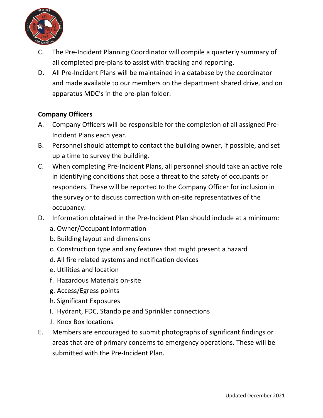

- C. The Pre-Incident Planning Coordinator will compile a quarterly summary of all completed pre-plans to assist with tracking and reporting.
- D. All Pre-Incident Plans will be maintained in a database by the coordinator and made available to our members on the department shared drive, and on apparatus MDC's in the pre-plan folder.

#### **Company Officers**

- A. Company Officers will be responsible for the completion of all assigned Pre-Incident Plans each year.
- B. Personnel should attempt to contact the building owner, if possible, and set up a time to survey the building.
- C. When completing Pre-Incident Plans, all personnel should take an active role in identifying conditions that pose a threat to the safety of occupants or responders. These will be reported to the Company Officer for inclusion in the survey or to discuss correction with on-site representatives of the occupancy.
- D. Information obtained in the Pre-Incident Plan should include at a minimum:
	- a. Owner/Occupant Information
	- b. Building layout and dimensions
	- c. Construction type and any features that might present a hazard
	- d. All fire related systems and notification devices
	- e. Utilities and location
	- f. Hazardous Materials on-site
	- g. Access/Egress points
	- h. Significant Exposures
	- I. Hydrant, FDC, Standpipe and Sprinkler connections
	- J. Knox Box locations
- E. Members are encouraged to submit photographs of significant findings or areas that are of primary concerns to emergency operations. These will be submitted with the Pre-Incident Plan.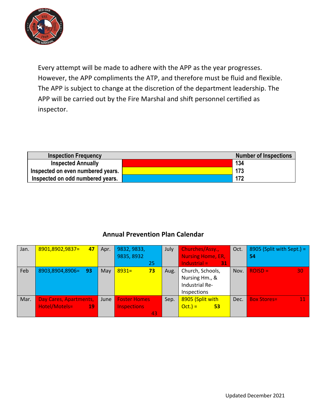

Every attempt will be made to adhere with the APP as the year progresses. However, the APP compliments the ATP, and therefore must be fluid and flexible. The APP is subject to change at the discretion of the department leadership. The APP will be carried out by the Fire Marshal and shift personnel certified as inspector.

| <b>Inspection Frequency</b>       | <b>Number of Inspections</b> |
|-----------------------------------|------------------------------|
| <b>Inspected Annually</b>         | 134                          |
| Inspected on even numbered years. | 173                          |
| Inspected on odd numbered years.  | 172                          |

#### **Annual Prevention Plan Calendar**

| Jan. | 8901,8902,9837=<br>47  | Apr. | 9832, 9833,         | July | Churches/Assy.,          | Oct. | 8905 (Split with Sept.) = |
|------|------------------------|------|---------------------|------|--------------------------|------|---------------------------|
|      |                        |      | 9835, 8932          |      | <b>Nursing Home, ER,</b> |      | 54                        |
|      |                        |      | 25                  |      | Industrial $=$<br>31     |      |                           |
| Feb  | 8903,8904,8906=<br>-93 | May  | 73<br>$8931 =$      | Aug. | Church, Schools,         | Nov. | $ROSD =$<br>30            |
|      |                        |      |                     |      | Nursing Hm., &           |      |                           |
|      |                        |      |                     |      | Industrial Re-           |      |                           |
|      |                        |      |                     |      | Inspections              |      |                           |
| Mar. | Day Cares, Apartments, | June | <b>Foster Homes</b> | Sep. | 8905 (Split with         | Dec. | <b>Box Stores=</b><br>11  |
|      | Hotel/Motels=<br>$-19$ |      | <b>Inspections</b>  |      | $Oct.$ ) =<br>53         |      |                           |
|      |                        |      | 43                  |      |                          |      |                           |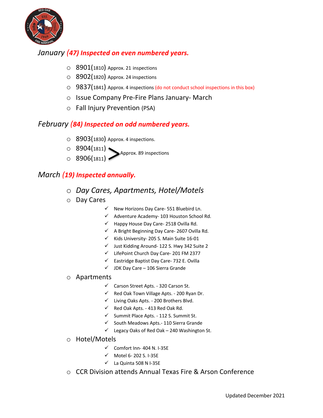

#### *January (47) Inspected on even numbered years.*

- $\circ$  8901(1810) Approx. 21 inspections
- O 8902(1820) Approx. 24 inspections
- $\circ$  9837(1841) Approx. 4 inspections (do not conduct school inspections in this box)
- o Issue Company Pre-Fire Plans January- March
- o Fall Injury Prevention (PSA)

#### *February (84) Inspected on odd numbered years.*

- $\circ$  8903(1830) Approx. 4 inspections.
- $\circ$  8904(1811)<br>Approx. 89 inspections  $\circ$  8906(1811)

#### *March (19) Inspected annually.*

- o *Day Cares, Apartments, Hotel/Motels*
- o Day Cares
	- $\checkmark$  New Horizons Day Care- 551 Bluebird Ln.
	- $\checkmark$  Adventure Academy- 103 Houston School Rd.
	- $\checkmark$  Happy House Day Care- 2518 Ovilla Rd.
	- $\checkmark$  A Bright Beginning Day Care- 2607 Ovilla Rd.
	- $\checkmark$  Kids University- 205 S. Main Suite 16-01
	- $\checkmark$  Just Kidding Around- 122 S. Hwy 342 Suite 2
	- $\checkmark$  LifePoint Church Day Care- 201 FM 2377
	- $\checkmark$  Eastridge Baptist Day Care- 732 E. Ovilla
	- $\checkmark$  JDK Day Care 106 Sierra Grande

#### o Apartments

- $\checkmark$  Carson Street Apts. 320 Carson St.
- $\checkmark$  Red Oak Town Village Apts. 200 Ryan Dr.
- $\checkmark$  Living Oaks Apts. 200 Brothers Blvd.
- $\checkmark$  Red Oak Apts. 413 Red Oak Rd.
- $\checkmark$  Summit Place Apts. 112 S. Summit St.
- $\checkmark$  South Meadows Apts.- 110 Sierra Grande
- $\checkmark$  Legacy Oaks of Red Oak 240 Washington St.
- o Hotel/Motels
	- $\checkmark$  Comfort Inn- 404 N. I-35E
	- $\checkmark$  Motel 6- 202 S. I-35E
	- $\checkmark$  La Quinta 508 N I-35E
- o CCR Division attends Annual Texas Fire & Arson Conference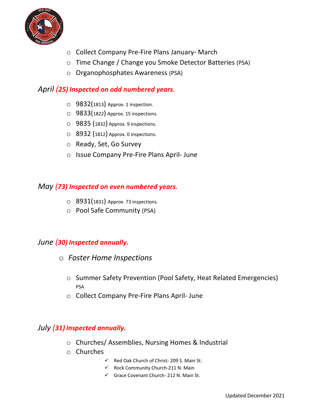

- o Collect Company Pre-Fire Plans January- March
- o Time Change / Change you Smoke Detector Batteries (PSA)
- o Organophosphates Awareness (PSA)

#### *April (25) Inspected on odd numbered years.*

- $\circ$  9832(1813) Approx. 1 inspection.
- o 9833(1822) Approx. 15 inspections.
- o 9835 (1832) Approx. 9 inspections.
- o 8932 (1812) Approx. 0 inspections.
- o Ready, Set, Go Survey
- o Issue Company Pre-Fire Plans April- June

#### *May (73) Inspected on even numbered years.*

- $\circ$  8931(1831) Approx. 73 inspections.
- o Pool Safe Community (PSA)

#### *June (30) Inspected annually.*

- o *Foster Home Inspections* 
	- o Summer Safety Prevention (Pool Safety, Heat Related Emergencies) PSA
	- o Collect Company Pre-Fire Plans April- June

#### *July (31) Inspected annually.*

- o Churches/ Assemblies, Nursing Homes & Industrial
- o Churches
	- $\checkmark$  Red Oak Church of Christ- 209 S. Main St.
	- $\checkmark$  Rock Community Church-211 N. Main
	- $\checkmark$  Grace Covenant Church- 212 N. Main St.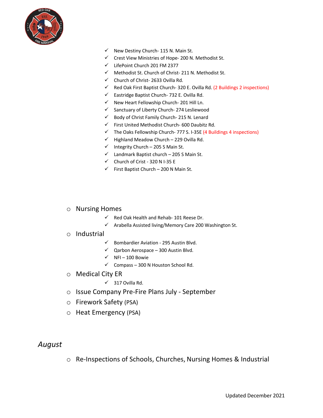

- $\checkmark$  New Destiny Church- 115 N. Main St.
- $\checkmark$  Crest View Ministries of Hope- 200 N. Methodist St.
- $\checkmark$  LifePoint Church 201 FM 2377
- $\checkmark$  Methodist St. Church of Christ- 211 N. Methodist St.
- $\checkmark$  Church of Christ- 2633 Ovilla Rd.
- $\checkmark$  Red Oak First Baptist Church- 320 E. Ovilla Rd. (2 Buildings 2 inspections)
- $\checkmark$  Eastridge Baptist Church- 732 E. Ovilla Rd.
- $\checkmark$  New Heart Fellowship Church- 201 Hill Ln.
- $\checkmark$  Sanctuary of Liberty Church- 274 Lesliewood
- $\checkmark$  Body of Christ Family Church- 215 N. Lenard
- $\checkmark$  First United Methodist Church- 600 Daubitz Rd.
- $\checkmark$  The Oaks Fellowship Church- 777 S. I-35E (4 Buildings 4 inspections)
- $\checkmark$  Highland Meadow Church 229 Ovilla Rd.
- $\nu$  Integrity Church 205 S Main St.
- $\checkmark$  Landmark Baptist church 205 S Main St.
- $\checkmark$  Church of Crist 320 N I-35 E
- $\checkmark$  First Baptist Church 200 N Main St.
- o Nursing Homes
	- $\checkmark$  Red Oak Health and Rehab- 101 Reese Dr.
	- $\checkmark$  Arabella Assisted living/Memory Care 200 Washington St.

#### o Industrial

- $\checkmark$  Bombardier Aviation 295 Austin Blvd.
- $\checkmark$  Qarbon Aerospace 300 Austin Blvd.
- $\checkmark$  NFI 100 Bowie
- $\checkmark$  Compass 300 N Houston School Rd.
- o Medical City ER
	- $\checkmark$  317 Ovilla Rd.
- o Issue Company Pre-Fire Plans July September
- o Firework Safety (PSA)
- o Heat Emergency (PSA)

#### *August*

o Re-Inspections of Schools, Churches, Nursing Homes & Industrial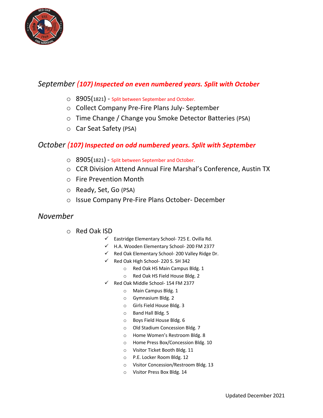

#### *September (107) Inspected on even numbered years. Split with October*

- o 8905(1821) Split between September and October.
- o Collect Company Pre-Fire Plans July- September
- o Time Change / Change you Smoke Detector Batteries (PSA)
- o Car Seat Safety (PSA)

#### *October (107) Inspected on odd numbered years. Split with September*

- o 8905(1821) Split between September and October.
- o CCR Division Attend Annual Fire Marshal's Conference, Austin TX
- o Fire Prevention Month
- o Ready, Set, Go (PSA)
- o Issue Company Pre-Fire Plans October- December

#### *November*

- o Red Oak ISD
	- $\checkmark$  Eastridge Elementary School- 725 E. Ovilla Rd.
	- $V$  H.A. Wooden Elementary School- 200 FM 2377
	- $\checkmark$  Red Oak Elementary School- 200 Valley Ridge Dr.
	- $\checkmark$  Red Oak High School- 220 S. SH 342
		- o Red Oak HS Main Campus Bldg. 1
		- o Red Oak HS Field House Bldg. 2
	- $\checkmark$  Red Oak Middle School- 154 FM 2377
		- o Main Campus Bldg. 1
		- o Gymnasium Bldg. 2
		- o Girls Field House Bldg. 3
		- o Band Hall Bldg. 5
		- o Boys Field House Bldg. 6
		- o Old Stadium Concession Bldg. 7
		- o Home Women's Restroom Bldg. 8
		- o Home Press Box/Concession Bldg. 10
		- o Visitor Ticket Booth Bldg. 11
		- o P.E. Locker Room Bldg. 12
		- o Visitor Concession/Restroom Bldg. 13
		- o Visitor Press Box Bldg. 14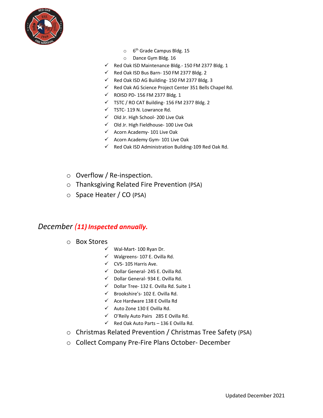

- $\circ$  6<sup>th</sup> Grade Campus Bldg. 15
- o Dance Gym Bldg. 16
- $\checkmark$  Red Oak ISD Maintenance Bldg.- 150 FM 2377 Bldg. 1
- $\checkmark$  Red Oak ISD Bus Barn- 150 FM 2377 Bldg. 2
- $\checkmark$  Red Oak ISD AG Building- 150 FM 2377 Bldg. 3
- $\checkmark$  Red Oak AG Science Project Center 351 Bells Chapel Rd.
- $\checkmark$  ROISD PD- 156 FM 2377 Bldg. 1
- $\checkmark$  TSTC / RO CAT Building- 156 FM 2377 Bldg. 2
- $\checkmark$  TSTC- 119 N. Lowrance Rd.
- $\checkmark$  Old Jr. High School- 200 Live Oak
- $\checkmark$  Old Jr. High Fieldhouse- 100 Live Oak
- $\checkmark$  Acorn Academy- 101 Live Oak
- $\checkmark$  Acorn Academy Gym- 101 Live Oak
- $\checkmark$  Red Oak ISD Administration Building-109 Red Oak Rd.
- o Overflow / Re-inspection.
- o Thanksgiving Related Fire Prevention (PSA)
- o Space Heater / CO (PSA)

#### *December (11) Inspected annually.*

- o Box Stores
	- $V$  Wal-Mart- 100 Ryan Dr.
	- $\checkmark$  Walgreens- 107 E. Ovilla Rd.
	- $\checkmark$  CVS- 105 Harris Ave.
	- $\checkmark$  Dollar General- 245 E. Ovilla Rd.
	- $\checkmark$  Dollar General- 934 E. Ovilla Rd.
	- $\checkmark$  Dollar Tree- 132 E. Ovilla Rd. Suite 1
	- $\checkmark$  Brookshire's- 102 E. Ovilla Rd.
	- $\checkmark$  Ace Hardware 138 E Ovilla Rd
	- $\checkmark$  Auto Zone 130 E Ovilla Rd.
	- $\checkmark$  O'Reily Auto Pairs 285 E Ovilla Rd.
	- $\checkmark$  Red Oak Auto Parts 136 E Ovilla Rd.
- o Christmas Related Prevention / Christmas Tree Safety (PSA)
- o Collect Company Pre-Fire Plans October- December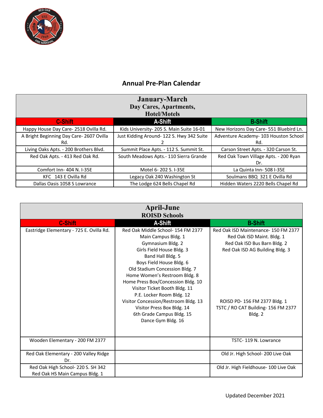

#### **Annual Pre-Plan Calendar**

| <b>January-March</b><br>Day Cares, Apartments,<br><b>Hotel/Motels</b> |                                           |                                         |  |
|-----------------------------------------------------------------------|-------------------------------------------|-----------------------------------------|--|
| <b>C-Shift</b>                                                        | A-Shift                                   | <b>B-Shift</b>                          |  |
| Happy House Day Care-2518 Ovilla Rd.                                  | Kids University-205 S. Main Suite 16-01   | New Horizons Day Care- 551 Bluebird Ln. |  |
| A Bright Beginning Day Care- 2607 Ovilla                              | Just Kidding Around- 122 S. Hwy 342 Suite | Adventure Academy- 103 Houston School   |  |
| Rd.                                                                   |                                           | Rd.                                     |  |
| Living Oaks Apts. - 200 Brothers Blvd.                                | Summit Place Apts. - 112 S. Summit St.    | Carson Street Apts. - 320 Carson St.    |  |
| Red Oak Apts. - 413 Red Oak Rd.                                       | South Meadows Apts.- 110 Sierra Grande    | Red Oak Town Village Apts. - 200 Ryan   |  |
|                                                                       |                                           | Dr.                                     |  |
| Comfort Inn- 404 N. I-35E                                             | Motel 6-202 S. I-35E                      | La Quinta Inn-508 I-35E                 |  |
| KFC 143 E Ovilla Rd                                                   | Legacy Oak 240 Washington St              | Soulmans BBQ 321 E Ovilla Rd            |  |
| Dallas Oasis 1058 S Lowrance                                          | The Lodge 624 Bells Chapel Rd             | Hidden Waters 2220 Bells Chapel Rd      |  |

|                                                                      | <b>April-June</b><br><b>ROISD Schools</b>                                                                                                                                                                                                                                                                                                                                                                                                                    |                                                                                                                                                                                                                        |
|----------------------------------------------------------------------|--------------------------------------------------------------------------------------------------------------------------------------------------------------------------------------------------------------------------------------------------------------------------------------------------------------------------------------------------------------------------------------------------------------------------------------------------------------|------------------------------------------------------------------------------------------------------------------------------------------------------------------------------------------------------------------------|
| <b>C-Shift</b>                                                       | A-Shift                                                                                                                                                                                                                                                                                                                                                                                                                                                      | <b>B-Shift</b>                                                                                                                                                                                                         |
| Eastridge Elementary - 725 E. Ovilla Rd.                             | Red Oak Middle School- 154 FM 2377<br>Main Campus Bldg. 1<br>Gymnasium Bldg. 2<br>Girls Field House Bldg. 3<br>Band Hall Bldg. 5<br>Boys Field House Bldg. 6<br>Old Stadium Concession Bldg. 7<br>Home Women's Restroom Bldg. 8<br>Home Press Box/Concession Bldg. 10<br>Visitor Ticket Booth Bldg. 11<br>P.E. Locker Room Bldg. 12<br>Visitor Concession/Restroom Bldg. 13<br>Visitor Press Box Bldg. 14<br>6th Grade Campus Bldg. 15<br>Dance Gym Bldg. 16 | Red Oak ISD Maintenance-150 FM 2377<br>Red Oak ISD Maint. Bldg. 1<br>Red Oak ISD Bus Barn Bldg. 2<br>Red Oak ISD AG Building Bldg. 3<br>ROISD PD-156 FM 2377 Bldg. 1<br>TSTC / RO CAT Building- 156 FM 2377<br>Bldg. 2 |
| Wooden Elementary - 200 FM 2377                                      |                                                                                                                                                                                                                                                                                                                                                                                                                                                              | TSTC-119 N. Lowrance                                                                                                                                                                                                   |
| Red Oak Elementary - 200 Valley Ridge<br>Dr.                         |                                                                                                                                                                                                                                                                                                                                                                                                                                                              | Old Jr. High School- 200 Live Oak                                                                                                                                                                                      |
| Red Oak High School- 220 S. SH 342<br>Red Oak HS Main Campus Bldg. 1 |                                                                                                                                                                                                                                                                                                                                                                                                                                                              | Old Jr. High Fieldhouse- 100 Live Oak                                                                                                                                                                                  |